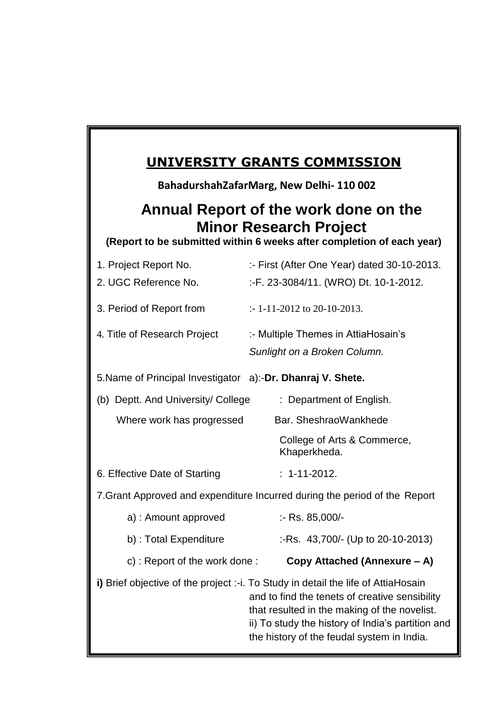# **UNIVERSITY GRANTS COMMISSION**

**BahadurshahZafarMarg, New Delhi- 110 002**

# **Minor Research Project Annual Report of the work done on the**

(Report to be submitted within 6 weeks after completion of each year)

| 1. Project Report No.                                                                                                                                                                                                                                                                  | :- First (After One Year) dated 30-10-2013. |
|----------------------------------------------------------------------------------------------------------------------------------------------------------------------------------------------------------------------------------------------------------------------------------------|---------------------------------------------|
| 2. UGC Reference No.                                                                                                                                                                                                                                                                   | :-F. 23-3084/11. (WRO) Dt. 10-1-2012.       |
| 3. Period of Report from                                                                                                                                                                                                                                                               | $\therefore$ 1-11-2012 to 20-10-2013.       |
| 4. Title of Research Project                                                                                                                                                                                                                                                           | :- Multiple Themes in AttiaHosain's         |
|                                                                                                                                                                                                                                                                                        | Sunlight on a Broken Column.                |
| 5. Name of Principal Investigator a):-Dr. Dhanraj V. Shete.                                                                                                                                                                                                                            |                                             |
| (b) Deptt. And University/ College                                                                                                                                                                                                                                                     | : Department of English.                    |
| Where work has progressed                                                                                                                                                                                                                                                              | Bar. SheshraoWankhede                       |
|                                                                                                                                                                                                                                                                                        | College of Arts & Commerce,<br>Khaperkheda. |
| 6. Effective Date of Starting                                                                                                                                                                                                                                                          | $: 1 - 11 - 2012.$                          |
| 7. Grant Approved and expenditure Incurred during the period of the Report                                                                                                                                                                                                             |                                             |
| a) : Amount approved                                                                                                                                                                                                                                                                   | :- Rs. 85,000/-                             |
| b) : Total Expenditure                                                                                                                                                                                                                                                                 | :-Rs. 43,700/- (Up to 20-10-2013)           |
| c): Report of the work done:                                                                                                                                                                                                                                                           | Copy Attached (Annexure - A)                |
| i) Brief objective of the project :-i. To Study in detail the life of AttiaHosain<br>and to find the tenets of creative sensibility<br>that resulted in the making of the novelist.<br>ii) To study the history of India's partition and<br>the history of the feudal system in India. |                                             |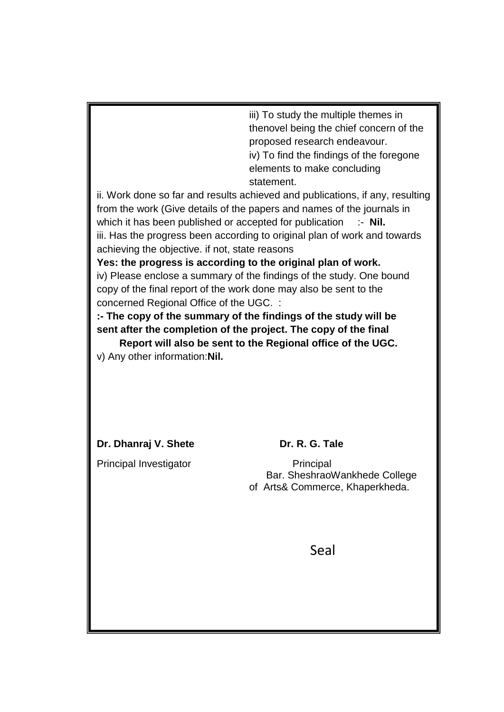iii) To study the multiple themes in thenovel being the chief concern of the proposed research endeavour. iv) To find the findings of the foregone elements to make concluding statement.

ii. Work done so far and results achieved and publications, if any, resulting from the work (Give details of the papers and names of the journals in which it has been published or accepted for publication :- **Nil.** iii. Has the progress been according to original plan of work and towards achieving the objective. if not, state reasons

**Yes: the progress is according to the original plan of work.** iv) Please enclose a summary of the findings of the study. One bound copy of the final report of the work done may also be sent to the concerned Regional Office of the UGC. :

**:- The copy of the summary of the findings of the study will be sent after the completion of the project. The copy of the final**

 **Report will also be sent to the Regional office of the UGC.**  v) Any other information:**Nil.** 

**Dr. Dhanraj V. Shete Dr. R. G. Tale** 

Principal Investigator **Principal** 

 Bar. SheshraoWankhede College of Arts& Commerce, Khaperkheda.

Seal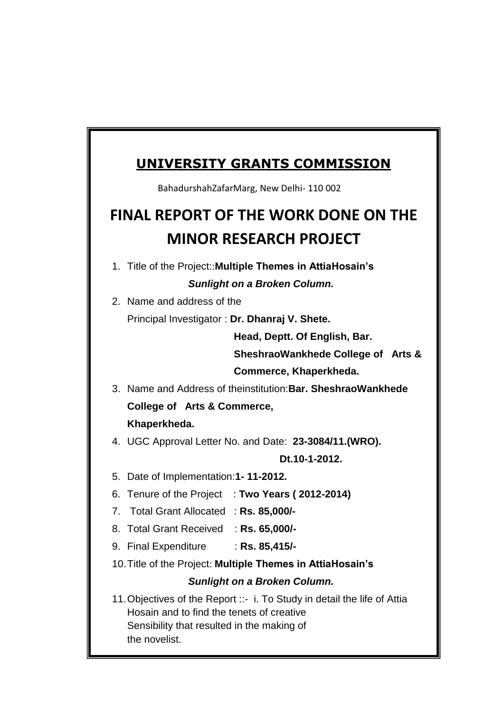## **UNIVERSITY GRANTS COMMISSION**

BahadurshahZafarMarg, New Delhi- 110 002

# **FINAL REPORT OF THE WORK DONE ON THE MINOR RESEARCH PROJECT**

- 1. Title of the Project::**Multiple Themes in AttiaHosain's** *Sunlight on a Broken Column.*
- 2. Name and address of the

Principal Investigator : **Dr. Dhanraj V. Shete.**

**Head, Deptt. Of English, Bar.** 

**SheshraoWankhede College of Arts & Commerce, Khaperkheda.**

3. Name and Address of theinstitution:**Bar. SheshraoWankhede College of Arts & Commerce, Khaperkheda.**

4. UGC Approval Letter No. and Date: **23-3084/11.(WRO).**

**Dt.10-1-2012.**

- 5. Date of Implementation:**1- 11-2012.**
- 6. Tenure of the Project : **Two Years ( 2012-2014)**
- 7. Total Grant Allocated : **Rs. 85,000/-**
- 8. Total Grant Received : **Rs. 65,000/-**
- 9. Final Expenditure : **Rs. 85,415/-**
- 10.Title of the Project: **Multiple Themes in AttiaHosain's**

### *Sunlight on a Broken Column.*

11.Objectives of the Report ::- i. To Study in detail the life of Attia Hosain and to find the tenets of creative Sensibility that resulted in the making of the novelist.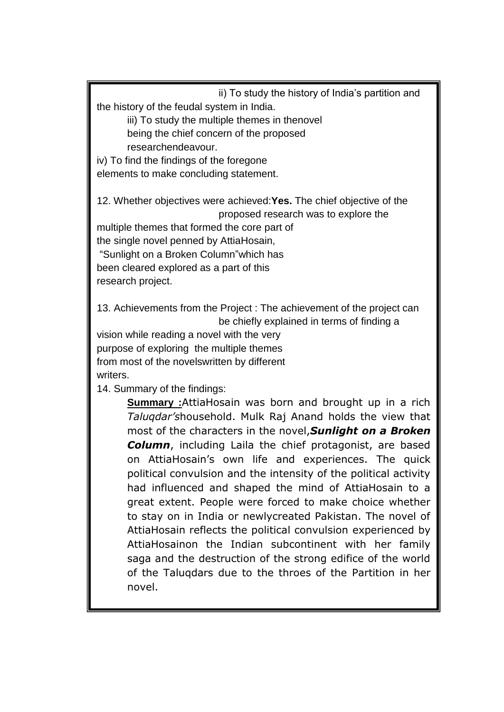ii) To study the history of India's partition and the history of the feudal system in India.

iii) To study the multiple themes in thenovel being the chief concern of the proposed researchendeavour.

iv) To find the findings of the foregone elements to make concluding statement.

12. Whether objectives were achieved:**Yes.** The chief objective of the proposed research was to explore the

multiple themes that formed the core part of the single novel penned by AttiaHosain, "Sunlight on a Broken Column"which has been cleared explored as a part of this research project.

13. Achievements from the Project : The achievement of the project can be chiefly explained in terms of finding a

vision while reading a novel with the very purpose of exploring the multiple themes from most of the novelswritten by different writers.

14. Summary of the findings:

**Summary :**AttiaHosain was born and brought up in a rich *Taluqdar's*household. Mulk Raj Anand holds the view that most of the characters in the novel,*Sunlight on a Broken Column*, including Laila the chief protagonist, are based on AttiaHosain's own life and experiences. The quick political convulsion and the intensity of the political activity had influenced and shaped the mind of AttiaHosain to a great extent. People were forced to make choice whether to stay on in India or newlycreated Pakistan. The novel of AttiaHosain reflects the political convulsion experienced by AttiaHosainon the Indian subcontinent with her family saga and the destruction of the strong edifice of the world of the Taluqdars due to the throes of the Partition in her novel.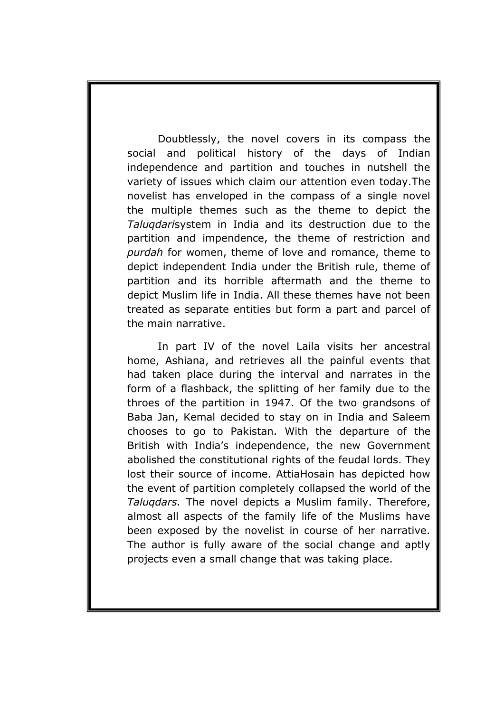Doubtlessly, the novel covers in its compass the social and political history of the days of Indian independence and partition and touches in nutshell the variety of issues which claim our attention even today.The novelist has enveloped in the compass of a single novel the multiple themes such as the theme to depict the *Taluqdari*system in India and its destruction due to the partition and impendence, the theme of restriction and *purdah* for women, theme of love and romance, theme to depict independent India under the British rule, theme of partition and its horrible aftermath and the theme to depict Muslim life in India. All these themes have not been treated as separate entities but form a part and parcel of the main narrative.

In part IV of the novel Laila visits her ancestral home, Ashiana, and retrieves all the painful events that had taken place during the interval and narrates in the form of a flashback, the splitting of her family due to the throes of the partition in 1947. Of the two grandsons of Baba Jan, Kemal decided to stay on in India and Saleem chooses to go to Pakistan. With the departure of the British with India's independence, the new Government abolished the constitutional rights of the feudal lords. They lost their source of income. AttiaHosain has depicted how the event of partition completely collapsed the world of the *Taluqdars.* The novel depicts a Muslim family. Therefore, almost all aspects of the family life of the Muslims have been exposed by the novelist in course of her narrative. The author is fully aware of the social change and aptly projects even a small change that was taking place.